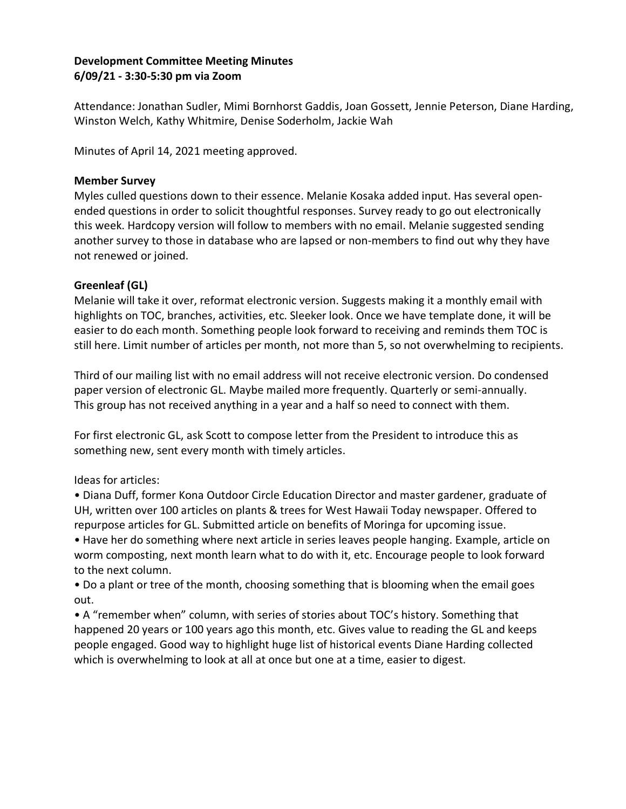# **Development Committee Meeting Minutes 6/09/21 - 3:30-5:30 pm via Zoom**

Attendance: Jonathan Sudler, Mimi Bornhorst Gaddis, Joan Gossett, Jennie Peterson, Diane Harding, Winston Welch, Kathy Whitmire, Denise Soderholm, Jackie Wah

Minutes of April 14, 2021 meeting approved.

### **Member Survey**

Myles culled questions down to their essence. Melanie Kosaka added input. Has several openended questions in order to solicit thoughtful responses. Survey ready to go out electronically this week. Hardcopy version will follow to members with no email. Melanie suggested sending another survey to those in database who are lapsed or non-members to find out why they have not renewed or joined.

# **Greenleaf (GL)**

Melanie will take it over, reformat electronic version. Suggests making it a monthly email with highlights on TOC, branches, activities, etc. Sleeker look. Once we have template done, it will be easier to do each month. Something people look forward to receiving and reminds them TOC is still here. Limit number of articles per month, not more than 5, so not overwhelming to recipients.

Third of our mailing list with no email address will not receive electronic version. Do condensed paper version of electronic GL. Maybe mailed more frequently. Quarterly or semi-annually. This group has not received anything in a year and a half so need to connect with them.

For first electronic GL, ask Scott to compose letter from the President to introduce this as something new, sent every month with timely articles.

# Ideas for articles:

• Diana Duff, former Kona Outdoor Circle Education Director and master gardener, graduate of UH, written over 100 articles on plants & trees for West Hawaii Today newspaper. Offered to repurpose articles for GL. Submitted article on benefits of Moringa for upcoming issue.

• Have her do something where next article in series leaves people hanging. Example, article on worm composting, next month learn what to do with it, etc. Encourage people to look forward to the next column.

• Do a plant or tree of the month, choosing something that is blooming when the email goes out.

• A "remember when" column, with series of stories about TOC's history. Something that happened 20 years or 100 years ago this month, etc. Gives value to reading the GL and keeps people engaged. Good way to highlight huge list of historical events Diane Harding collected which is overwhelming to look at all at once but one at a time, easier to digest.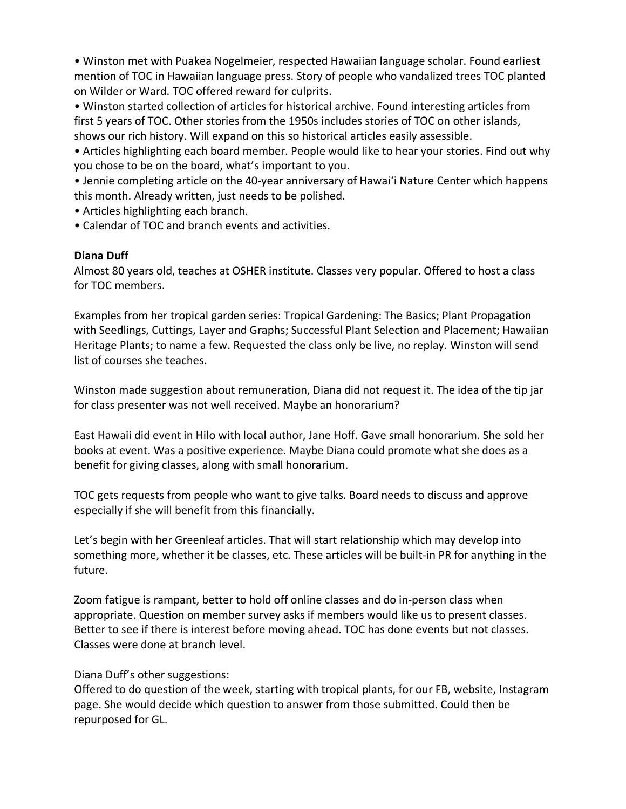• Winston met with Puakea Nogelmeier, respected Hawaiian language scholar. Found earliest mention of TOC in Hawaiian language press. Story of people who vandalized trees TOC planted on Wilder or Ward. TOC offered reward for culprits.

• Winston started collection of articles for historical archive. Found interesting articles from first 5 years of TOC. Other stories from the 1950s includes stories of TOC on other islands, shows our rich history. Will expand on this so historical articles easily assessible.

• Articles highlighting each board member. People would like to hear your stories. Find out why you chose to be on the board, what's important to you.

• Jennie completing article on the 40-year anniversary of Hawai'i Nature Center which happens this month. Already written, just needs to be polished.

• Articles highlighting each branch.

• Calendar of TOC and branch events and activities.

## **Diana Duff**

Almost 80 years old, teaches at OSHER institute. Classes very popular. Offered to host a class for TOC members.

Examples from her tropical garden series: Tropical Gardening: The Basics; Plant Propagation with Seedlings, Cuttings, Layer and Graphs; Successful Plant Selection and Placement; Hawaiian Heritage Plants; to name a few. Requested the class only be live, no replay. Winston will send list of courses she teaches.

Winston made suggestion about remuneration, Diana did not request it. The idea of the tip jar for class presenter was not well received. Maybe an honorarium?

East Hawaii did event in Hilo with local author, Jane Hoff. Gave small honorarium. She sold her books at event. Was a positive experience. Maybe Diana could promote what she does as a benefit for giving classes, along with small honorarium.

TOC gets requests from people who want to give talks. Board needs to discuss and approve especially if she will benefit from this financially.

Let's begin with her Greenleaf articles. That will start relationship which may develop into something more, whether it be classes, etc. These articles will be built-in PR for anything in the future.

Zoom fatigue is rampant, better to hold off online classes and do in-person class when appropriate. Question on member survey asks if members would like us to present classes. Better to see if there is interest before moving ahead. TOC has done events but not classes. Classes were done at branch level.

Diana Duff's other suggestions:

Offered to do question of the week, starting with tropical plants, for our FB, website, Instagram page. She would decide which question to answer from those submitted. Could then be repurposed for GL.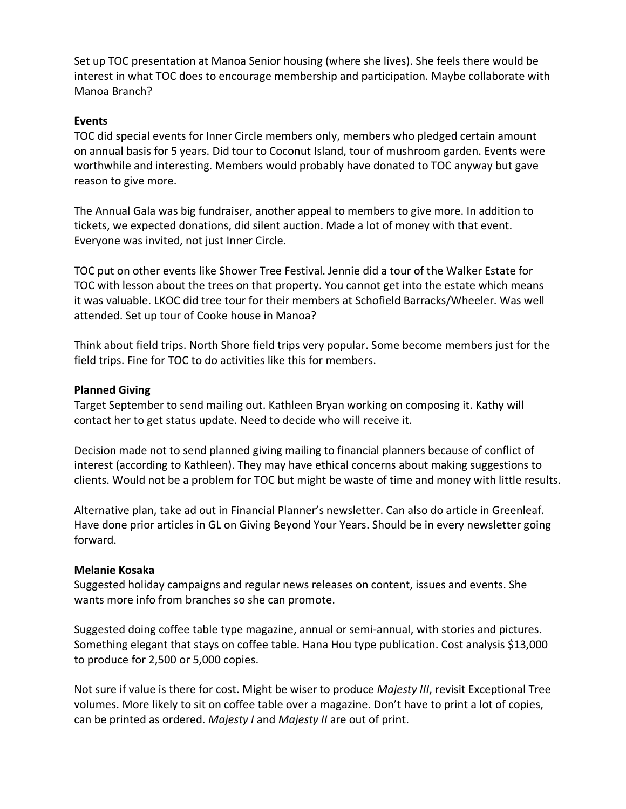Set up TOC presentation at Manoa Senior housing (where she lives). She feels there would be interest in what TOC does to encourage membership and participation. Maybe collaborate with Manoa Branch?

### **Events**

TOC did special events for Inner Circle members only, members who pledged certain amount on annual basis for 5 years. Did tour to Coconut Island, tour of mushroom garden. Events were worthwhile and interesting. Members would probably have donated to TOC anyway but gave reason to give more.

The Annual Gala was big fundraiser, another appeal to members to give more. In addition to tickets, we expected donations, did silent auction. Made a lot of money with that event. Everyone was invited, not just Inner Circle.

TOC put on other events like Shower Tree Festival. Jennie did a tour of the Walker Estate for TOC with lesson about the trees on that property. You cannot get into the estate which means it was valuable. LKOC did tree tour for their members at Schofield Barracks/Wheeler. Was well attended. Set up tour of Cooke house in Manoa?

Think about field trips. North Shore field trips very popular. Some become members just for the field trips. Fine for TOC to do activities like this for members.

## **Planned Giving**

Target September to send mailing out. Kathleen Bryan working on composing it. Kathy will contact her to get status update. Need to decide who will receive it.

Decision made not to send planned giving mailing to financial planners because of conflict of interest (according to Kathleen). They may have ethical concerns about making suggestions to clients. Would not be a problem for TOC but might be waste of time and money with little results.

Alternative plan, take ad out in Financial Planner's newsletter. Can also do article in Greenleaf. Have done prior articles in GL on Giving Beyond Your Years. Should be in every newsletter going forward.

#### **Melanie Kosaka**

Suggested holiday campaigns and regular news releases on content, issues and events. She wants more info from branches so she can promote.

Suggested doing coffee table type magazine, annual or semi-annual, with stories and pictures. Something elegant that stays on coffee table. Hana Hou type publication. Cost analysis \$13,000 to produce for 2,500 or 5,000 copies.

Not sure if value is there for cost. Might be wiser to produce *Majesty III*, revisit Exceptional Tree volumes. More likely to sit on coffee table over a magazine. Don't have to print a lot of copies, can be printed as ordered. *Majesty I* and *Majesty II* are out of print.